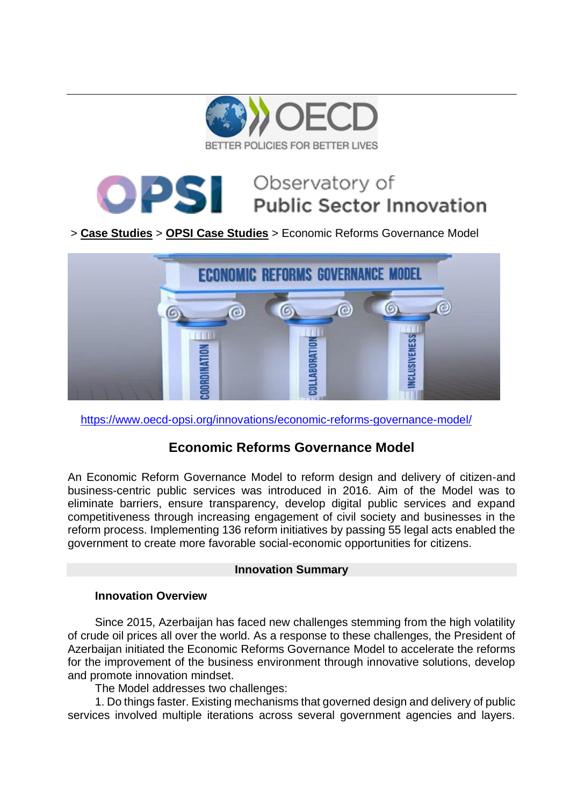

# Observatory of **PSI Public Sector Innovation**

# > **[Case Studies](https://www.oecd-opsi.org/innovations/)** > **[OPSI Case Studies](https://www.oecd-opsi.org/case_type/opsi/)** > Economic Reforms Governance Model



<https://www.oecd-opsi.org/innovations/economic-reforms-governance-model/>

# **Economic Reforms Governance Model**

An Economic Reform Governance Model to reform design and delivery of citizen-and business-centric public services was introduced in 2016. Aim of the Model was to eliminate barriers, ensure transparency, develop digital public services and expand competitiveness through increasing engagement of civil society and businesses in the reform process. Implementing 136 reform initiatives by passing 55 legal acts enabled the government to create more favorable social-economic opportunities for citizens.

# **Innovation Summary**

# **Innovation Overview**

Since 2015, Azerbaijan has faced new challenges stemming from the high volatility of crude oil prices all over the world. As a response to these challenges, the President of Azerbaijan initiated the Economic Reforms Governance Model to accelerate the reforms for the improvement of the business environment through innovative solutions, develop and promote innovation mindset.

The Model addresses two challenges:

1. Do things faster. Existing mechanisms that governed design and delivery of public services involved multiple iterations across several government agencies and layers.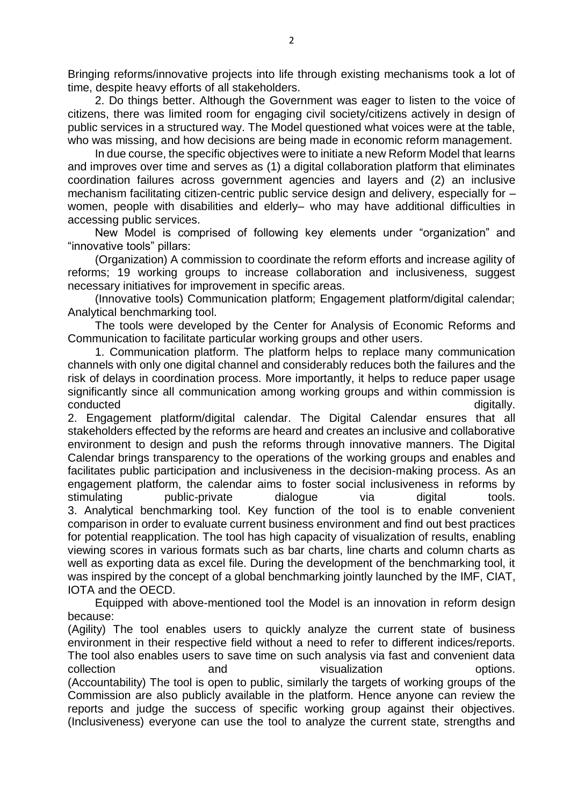Bringing reforms/innovative projects into life through existing mechanisms took a lot of time, despite heavy efforts of all stakeholders.

2. Do things better. Although the Government was eager to listen to the voice of citizens, there was limited room for engaging civil society/citizens actively in design of public services in a structured way. The Model questioned what voices were at the table, who was missing, and how decisions are being made in economic reform management.

In due course, the specific objectives were to initiate a new Reform Model that learns and improves over time and serves as (1) a digital collaboration platform that eliminates coordination failures across government agencies and layers and (2) an inclusive mechanism facilitating citizen-centric public service design and delivery, especially for – women, people with disabilities and elderly– who may have additional difficulties in accessing public services.

New Model is comprised of following key elements under "organization" and "innovative tools" pillars:

(Organization) A commission to coordinate the reform efforts and increase agility of reforms; 19 working groups to increase collaboration and inclusiveness, suggest necessary initiatives for improvement in specific areas.

(Innovative tools) Communication platform; Engagement platform/digital calendar; Analytical benchmarking tool.

The tools were developed by the Center for Analysis of Economic Reforms and Communication to facilitate particular working groups and other users.

1. Communication platform. The platform helps to replace many communication channels with only one digital channel and considerably reduces both the failures and the risk of delays in coordination process. More importantly, it helps to reduce paper usage significantly since all communication among working groups and within commission is conducted digitally.

2. Engagement platform/digital calendar. The Digital Calendar ensures that all stakeholders effected by the reforms are heard and creates an inclusive and collaborative environment to design and push the reforms through innovative manners. The Digital Calendar brings transparency to the operations of the working groups and enables and facilitates public participation and inclusiveness in the decision-making process. As an engagement platform, the calendar aims to foster social inclusiveness in reforms by stimulating public-private dialogue via digital tools. 3. Analytical benchmarking tool. Key function of the tool is to enable convenient comparison in order to evaluate current business environment and find out best practices for potential reapplication. The tool has high capacity of visualization of results, enabling viewing scores in various formats such as bar charts, line charts and column charts as well as exporting data as excel file. During the development of the benchmarking tool, it was inspired by the concept of a global benchmarking jointly launched by the IMF, CIAT, IOTA and the OECD.

Equipped with above-mentioned tool the Model is an innovation in reform design because:

(Agility) The tool enables users to quickly analyze the current state of business environment in their respective field without a need to refer to different indices/reports. The tool also enables users to save time on such analysis via fast and convenient data collection and visualization options. (Accountability) The tool is open to public, similarly the targets of working groups of the Commission are also publicly available in the platform. Hence anyone can review the reports and judge the success of specific working group against their objectives. (Inclusiveness) everyone can use the tool to analyze the current state, strengths and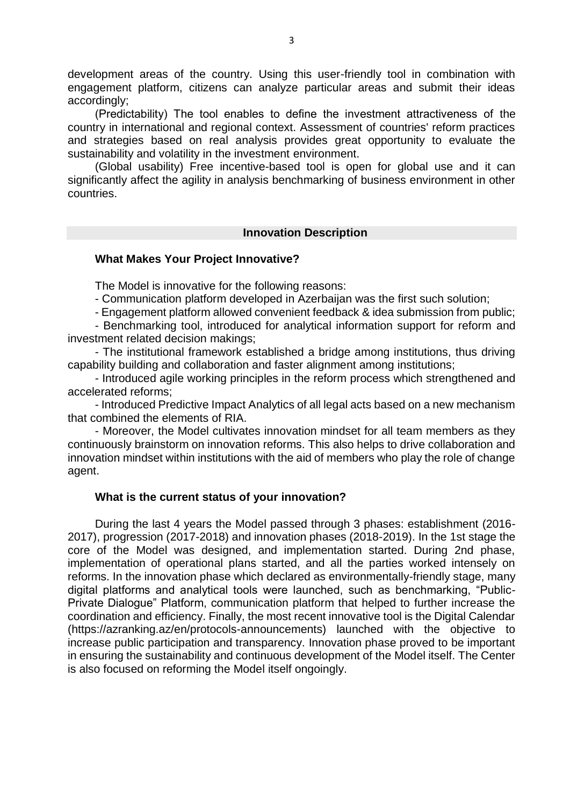development areas of the country. Using this user-friendly tool in combination with engagement platform, citizens can analyze particular areas and submit their ideas accordingly;

(Predictability) The tool enables to define the investment attractiveness of the country in international and regional context. Assessment of countries' reform practices and strategies based on real analysis provides great opportunity to evaluate the sustainability and volatility in the investment environment.

(Global usability) Free incentive-based tool is open for global use and it can significantly affect the agility in analysis benchmarking of business environment in other countries.

## **Innovation Description**

## **What Makes Your Project Innovative?**

The Model is innovative for the following reasons:

- Communication platform developed in Azerbaijan was the first such solution;

- Engagement platform allowed convenient feedback & idea submission from public;

- Benchmarking tool, introduced for analytical information support for reform and investment related decision makings;

- The institutional framework established a bridge among institutions, thus driving capability building and collaboration and faster alignment among institutions;

- Introduced agile working principles in the reform process which strengthened and accelerated reforms;

- Introduced Predictive Impact Analytics of all legal acts based on a new mechanism that combined the elements of RIA.

- Moreover, the Model cultivates innovation mindset for all team members as they continuously brainstorm on innovation reforms. This also helps to drive collaboration and innovation mindset within institutions with the aid of members who play the role of change agent.

# **What is the current status of your innovation?**

During the last 4 years the Model passed through 3 phases: establishment (2016- 2017), progression (2017-2018) and innovation phases (2018-2019). In the 1st stage the core of the Model was designed, and implementation started. During 2nd phase, implementation of operational plans started, and all the parties worked intensely on reforms. In the innovation phase which declared as environmentally-friendly stage, many digital platforms and analytical tools were launched, such as benchmarking, "Public-Private Dialogue" Platform, communication platform that helped to further increase the coordination and efficiency. Finally, the most recent innovative tool is the Digital Calendar (https://azranking.az/en/protocols-announcements) launched with the objective to increase public participation and transparency. Innovation phase proved to be important in ensuring the sustainability and continuous development of the Model itself. The Center is also focused on reforming the Model itself ongoingly.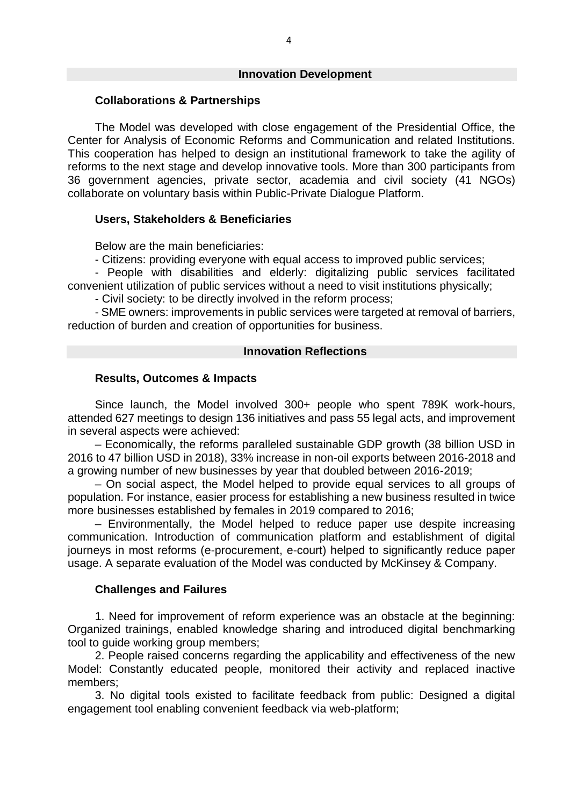#### **Innovation Development**

#### **Collaborations & Partnerships**

The Model was developed with close engagement of the Presidential Office, the Center for Analysis of Economic Reforms and Communication and related Institutions. This cooperation has helped to design an institutional framework to take the agility of reforms to the next stage and develop innovative tools. More than 300 participants from 36 government agencies, private sector, academia and civil society (41 NGOs) collaborate on voluntary basis within Public-Private Dialogue Platform.

#### **Users, Stakeholders & Beneficiaries**

Below are the main beneficiaries:

- Citizens: providing everyone with equal access to improved public services;

- People with disabilities and elderly: digitalizing public services facilitated convenient utilization of public services without a need to visit institutions physically;

- Civil society: to be directly involved in the reform process;

- SME owners: improvements in public services were targeted at removal of barriers, reduction of burden and creation of opportunities for business.

#### **Innovation Reflections**

### **Results, Outcomes & Impacts**

Since launch, the Model involved 300+ people who spent 789K work-hours, attended 627 meetings to design 136 initiatives and pass 55 legal acts, and improvement in several aspects were achieved:

– Economically, the reforms paralleled sustainable GDP growth (38 billion USD in 2016 to 47 billion USD in 2018), 33% increase in non-oil exports between 2016-2018 and a growing number of new businesses by year that doubled between 2016-2019;

– On social aspect, the Model helped to provide equal services to all groups of population. For instance, easier process for establishing a new business resulted in twice more businesses established by females in 2019 compared to 2016;

– Environmentally, the Model helped to reduce paper use despite increasing communication. Introduction of communication platform and establishment of digital journeys in most reforms (e-procurement, e-court) helped to significantly reduce paper usage. A separate evaluation of the Model was conducted by McKinsey & Company.

#### **Challenges and Failures**

1. Need for improvement of reform experience was an obstacle at the beginning: Organized trainings, enabled knowledge sharing and introduced digital benchmarking tool to guide working group members;

2. People raised concerns regarding the applicability and effectiveness of the new Model: Constantly educated people, monitored their activity and replaced inactive members;

3. No digital tools existed to facilitate feedback from public: Designed a digital engagement tool enabling convenient feedback via web-platform;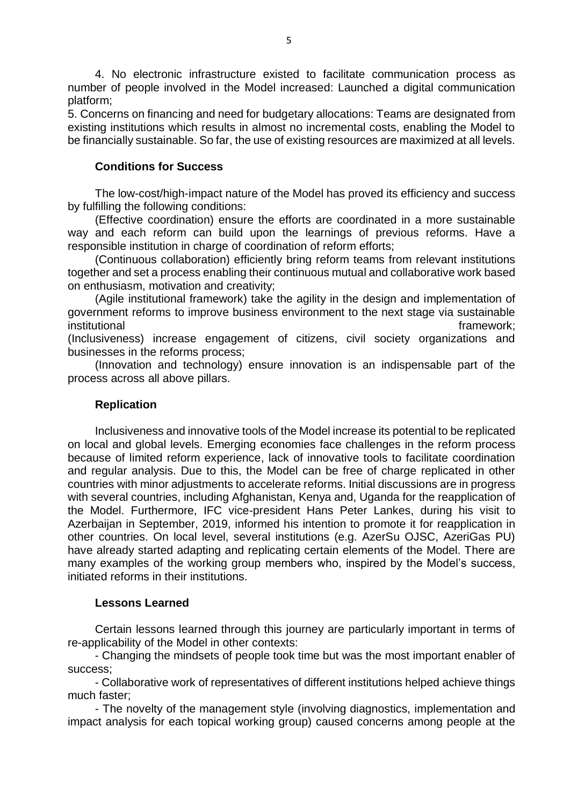4. No electronic infrastructure existed to facilitate communication process as number of people involved in the Model increased: Launched a digital communication platform;

5. Concerns on financing and need for budgetary allocations: Teams are designated from existing institutions which results in almost no incremental costs, enabling the Model to be financially sustainable. So far, the use of existing resources are maximized at all levels.

# **Conditions for Success**

The low-cost/high-impact nature of the Model has proved its efficiency and success by fulfilling the following conditions:

(Effective coordination) ensure the efforts are coordinated in a more sustainable way and each reform can build upon the learnings of previous reforms. Have a responsible institution in charge of coordination of reform efforts;

(Continuous collaboration) efficiently bring reform teams from relevant institutions together and set a process enabling their continuous mutual and collaborative work based on enthusiasm, motivation and creativity;

(Agile institutional framework) take the agility in the design and implementation of government reforms to improve business environment to the next stage via sustainable institutional framework;

(Inclusiveness) increase engagement of citizens, civil society organizations and businesses in the reforms process;

(Innovation and technology) ensure innovation is an indispensable part of the process across all above pillars.

#### **Replication**

Inclusiveness and innovative tools of the Model increase its potential to be replicated on local and global levels. Emerging economies face challenges in the reform process because of limited reform experience, lack of innovative tools to facilitate coordination and regular analysis. Due to this, the Model can be free of charge replicated in other countries with minor adjustments to accelerate reforms. Initial discussions are in progress with several countries, including Afghanistan, Kenya and, Uganda for the reapplication of the Model. Furthermore, IFC vice-president Hans Peter Lankes, during his visit to Azerbaijan in September, 2019, informed his intention to promote it for reapplication in other countries. On local level, several institutions (e.g. AzerSu OJSC, AzeriGas PU) have already started adapting and replicating certain elements of the Model. There are many examples of the working group members who, inspired by the Model's success, initiated reforms in their institutions.

#### **Lessons Learned**

Certain lessons learned through this journey are particularly important in terms of re-applicability of the Model in other contexts:

- Changing the mindsets of people took time but was the most important enabler of success;

- Collaborative work of representatives of different institutions helped achieve things much faster;

- The novelty of the management style (involving diagnostics, implementation and impact analysis for each topical working group) caused concerns among people at the